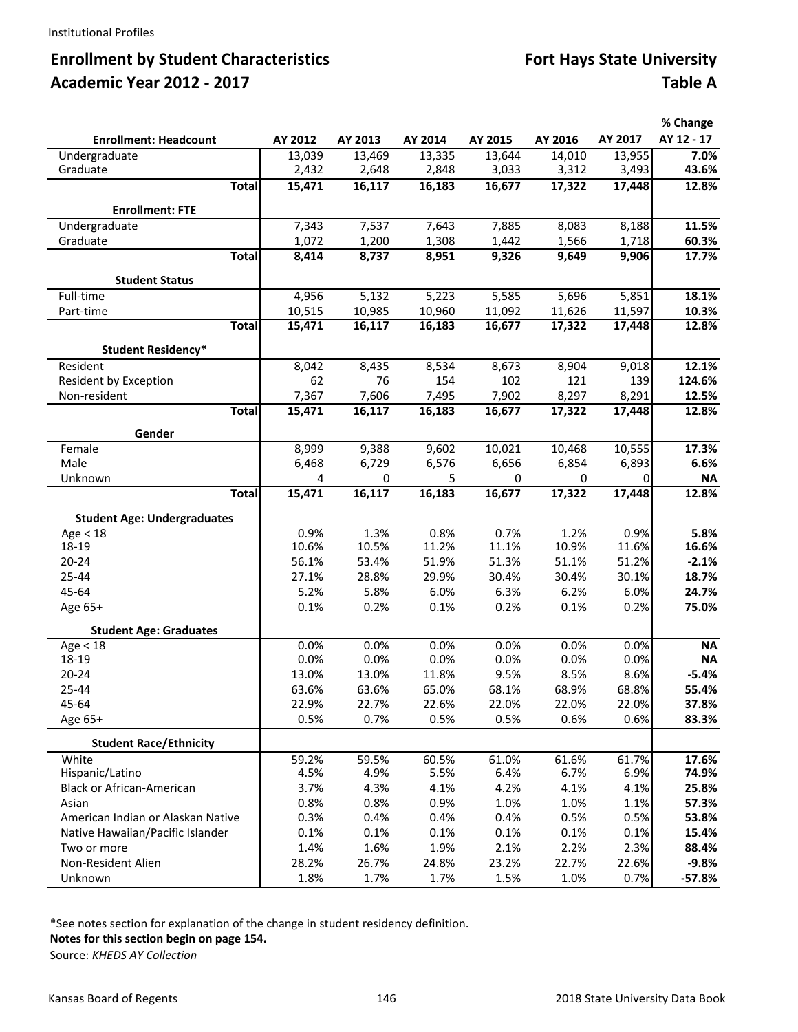# **Enrollment by Student Characteristics Fort Hays State University Academic Year 2012 ‐ 2017 Table A**

|                                           |               |               |               |               |               |               | % Change       |
|-------------------------------------------|---------------|---------------|---------------|---------------|---------------|---------------|----------------|
| <b>Enrollment: Headcount</b>              | AY 2012       | AY 2013       | AY 2014       | AY 2015       | AY 2016       | AY 2017       | AY 12 - 17     |
| Undergraduate                             | 13,039        | 13,469        | 13,335        | 13,644        | 14,010        | 13,955        | 7.0%           |
| Graduate                                  | 2,432         | 2,648         | 2,848         | 3,033         | 3,312         | 3,493         | 43.6%          |
| <b>Total</b>                              | 15,471        | 16,117        | 16,183        | 16,677        | 17,322        | 17,448        | 12.8%          |
| <b>Enrollment: FTE</b>                    |               |               |               |               |               |               |                |
| Undergraduate                             | 7,343         | 7,537         | 7,643         | 7,885         | 8,083         | 8,188         | 11.5%          |
| Graduate                                  | 1,072         | 1,200         | 1,308         | 1,442         | 1,566         | 1,718         | 60.3%          |
| <b>Total</b>                              | 8,414         | 8,737         | 8,951         | 9,326         | 9,649         | 9,906         | 17.7%          |
| <b>Student Status</b>                     |               |               |               |               |               |               |                |
| Full-time                                 | 4,956         | 5,132         | 5,223         | 5,585         | 5,696         | 5,851         | 18.1%          |
| Part-time                                 | 10,515        | 10,985        | 10,960        | 11,092        | 11,626        | 11,597        | 10.3%          |
| <b>Total</b>                              | 15,471        | 16,117        | 16,183        | 16,677        | 17,322        | 17,448        | 12.8%          |
|                                           |               |               |               |               |               |               |                |
| <b>Student Residency*</b><br>Resident     | 8,042         | 8,435         | 8,534         | 8,673         | 8,904         | 9,018         | 12.1%          |
| Resident by Exception                     | 62            | 76            | 154           | 102           | 121           | 139           | 124.6%         |
| Non-resident                              | 7,367         | 7,606         | 7,495         | 7,902         | 8,297         | 8,291         | 12.5%          |
| <b>Total</b>                              | 15,471        | 16,117        | 16,183        | 16,677        | 17,322        | 17,448        | 12.8%          |
|                                           |               |               |               |               |               |               |                |
| Gender                                    |               |               |               |               |               |               |                |
| Female                                    | 8,999         | 9,388         | 9,602         | 10,021        | 10,468        | 10,555        | 17.3%          |
| Male                                      | 6,468         | 6,729         | 6,576         | 6,656         | 6,854         | 6,893         | 6.6%           |
| Unknown                                   | 4             | 0             | 5             | 0             | $\mathbf 0$   | 0             | <b>NA</b>      |
| <b>Total</b>                              | 15,471        | 16,117        | 16,183        | 16,677        | 17,322        | 17,448        | 12.8%          |
| <b>Student Age: Undergraduates</b>        |               |               |               |               |               |               |                |
| Age < 18                                  | 0.9%          | 1.3%          | 0.8%          | 0.7%          | 1.2%          | 0.9%          | 5.8%           |
| 18-19                                     | 10.6%         | 10.5%         | 11.2%         | 11.1%         | 10.9%         | 11.6%         | 16.6%          |
| 20-24                                     | 56.1%         | 53.4%         | 51.9%         | 51.3%         | 51.1%         | 51.2%         | $-2.1%$        |
| 25-44                                     | 27.1%         | 28.8%         | 29.9%         | 30.4%         | 30.4%         | 30.1%         | 18.7%          |
| 45-64                                     | 5.2%          | 5.8%          | 6.0%          | 6.3%          | 6.2%          | 6.0%          | 24.7%          |
| Age 65+                                   | 0.1%          | 0.2%          | 0.1%          | 0.2%          | 0.1%          | 0.2%          | 75.0%          |
| <b>Student Age: Graduates</b>             |               |               |               |               |               |               |                |
| Age < 18                                  | 0.0%          | 0.0%          | 0.0%          | 0.0%          | 0.0%          | 0.0%          | <b>NA</b>      |
| 18-19                                     | 0.0%          | 0.0%          | 0.0%          | 0.0%          | 0.0%          | 0.0%          | <b>NA</b>      |
| $20 - 24$                                 | 13.0%         | 13.0%         | 11.8%         | 9.5%          | 8.5%          | 8.6%          | $-5.4%$        |
| 25-44                                     | 63.6%         | 63.6%         | 65.0%         | 68.1%         | 68.9%         | 68.8%         | 55.4%          |
| 45-64                                     | 22.9%<br>0.5% | 22.7%<br>0.7% | 22.6%<br>0.5% | 22.0%<br>0.5% | 22.0%<br>0.6% | 22.0%<br>0.6% | 37.8%<br>83.3% |
| Age 65+                                   |               |               |               |               |               |               |                |
| <b>Student Race/Ethnicity</b>             |               |               |               |               |               |               |                |
| White                                     | 59.2%         | 59.5%         | 60.5%         | 61.0%         | 61.6%         | 61.7%         | 17.6%          |
| Hispanic/Latino                           | 4.5%          | 4.9%          | 5.5%          | 6.4%          | 6.7%          | 6.9%          | 74.9%          |
| <b>Black or African-American</b><br>Asian | 3.7%<br>0.8%  | 4.3%<br>0.8%  | 4.1%<br>0.9%  | 4.2%<br>1.0%  | 4.1%<br>1.0%  | 4.1%<br>1.1%  | 25.8%<br>57.3% |
| American Indian or Alaskan Native         | 0.3%          | 0.4%          | 0.4%          | 0.4%          | 0.5%          | 0.5%          | 53.8%          |
| Native Hawaiian/Pacific Islander          | 0.1%          | 0.1%          | 0.1%          | 0.1%          | 0.1%          | 0.1%          | 15.4%          |
| Two or more                               | 1.4%          | 1.6%          | 1.9%          | 2.1%          | 2.2%          | 2.3%          | 88.4%          |
| Non-Resident Alien                        | 28.2%         | 26.7%         | 24.8%         | 23.2%         | 22.7%         | 22.6%         | $-9.8%$        |
| Unknown                                   | 1.8%          | 1.7%          | 1.7%          | 1.5%          | 1.0%          | 0.7%          | $-57.8%$       |

\*See notes section for explanation of the change in student residency definition.

**Notes for this section begin on page 154.**

Source: *KHEDS AY Collection*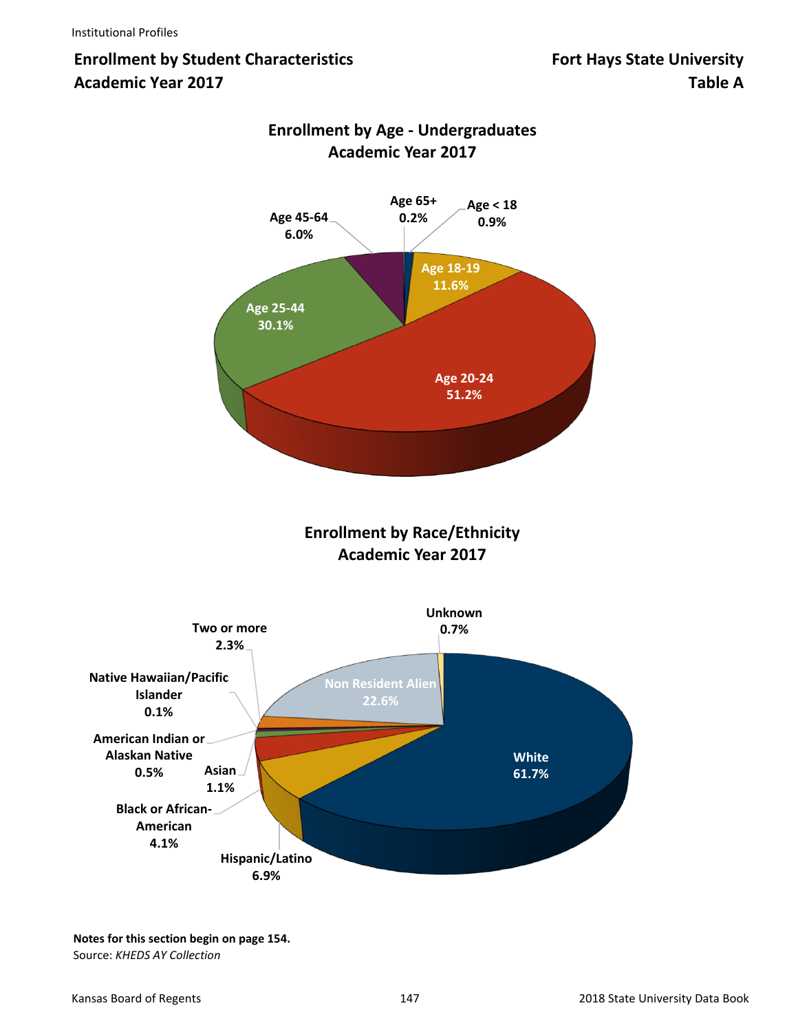# **Enrollment by Student Characteristics Fort Hays State University Academic Year 2017 Table A**



# **Enrollment by Age ‐ Undergraduates Academic Year 2017**

**Notes for this section begin on page 154.** Source: *KHEDS AY Collection*

**4.1%**

**Hispanic/Latino 6.9%**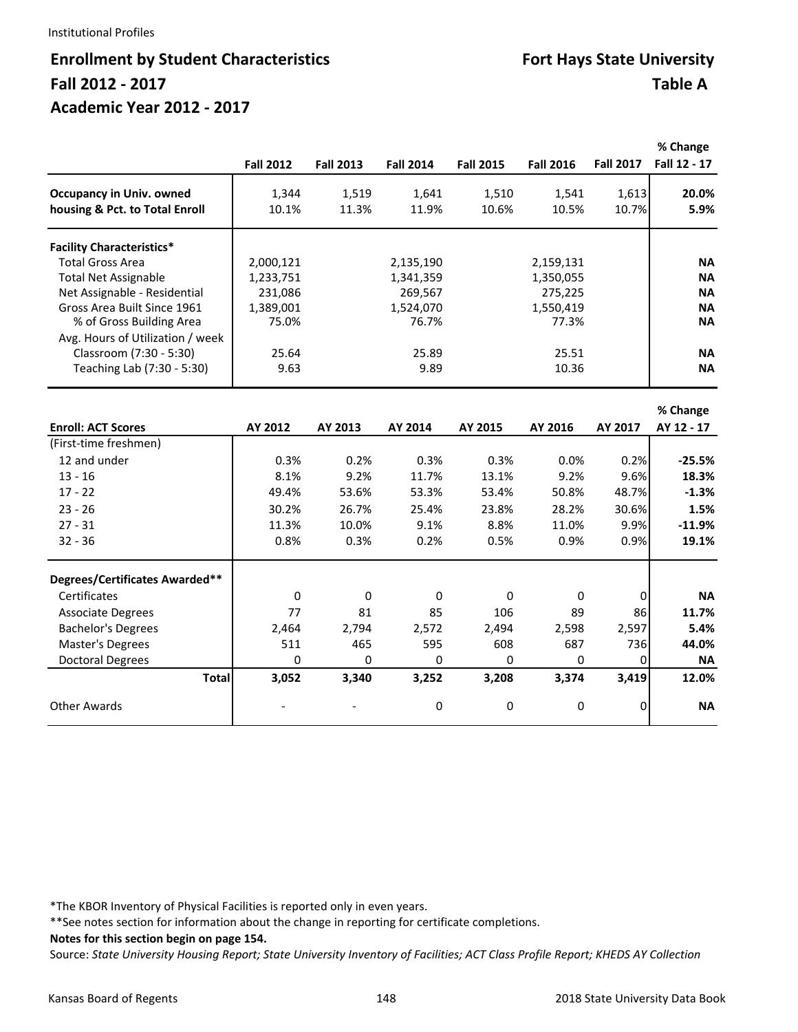#### Institutional Profiles

# **Enrollment by Student Characteristics <b>Fort Hays State University Fall 2012 ‐ 2017 Table A Academic Year 2012 ‐ 2017**

|                                  | <b>Fall 2012</b> | <b>Fall 2013</b> | <b>Fall 2014</b> | <b>Fall 2015</b> | <b>Fall 2016</b> | <b>Fall 2017</b> | % Change<br>Fall 12 - 17 |
|----------------------------------|------------------|------------------|------------------|------------------|------------------|------------------|--------------------------|
| <b>Occupancy in Univ. owned</b>  | 1,344            | 1,519            | 1,641            | 1,510            | 1,541            | 1,613            | 20.0%                    |
| housing & Pct. to Total Enroll   | 10.1%            | 11.3%            | 11.9%            | 10.6%            | 10.5%            | 10.7%            | 5.9%                     |
| <b>Facility Characteristics*</b> |                  |                  |                  |                  |                  |                  |                          |
| <b>Total Gross Area</b>          | 2,000,121        |                  | 2,135,190        |                  | 2,159,131        |                  | <b>NA</b>                |
| <b>Total Net Assignable</b>      | 1,233,751        |                  | 1,341,359        |                  | 1,350,055        |                  | <b>NA</b>                |
| Net Assignable - Residential     | 231,086          |                  | 269,567          |                  | 275,225          |                  | <b>NA</b>                |
| Gross Area Built Since 1961      | 1,389,001        |                  | 1,524,070        |                  | 1,550,419        |                  | <b>NA</b>                |
| % of Gross Building Area         | 75.0%            |                  | 76.7%            |                  | 77.3%            |                  | <b>NA</b>                |
| Avg. Hours of Utilization / week |                  |                  |                  |                  |                  |                  |                          |
| Classroom (7:30 - 5:30)          | 25.64            |                  | 25.89            |                  | 25.51            |                  | <b>NA</b>                |
| Teaching Lab (7:30 - 5:30)       | 9.63             |                  | 9.89             |                  | 10.36            |                  | <b>NA</b>                |
|                                  |                  |                  |                  |                  |                  |                  |                          |
| <b>Enroll: ACT Scores</b>        | AY 2012          | AY 2013          | AY 2014          | AY 2015          | AY 2016          | AY 2017          | % Change<br>AY 12 - 17   |
| (First-time freshmen)            |                  |                  |                  |                  |                  |                  |                          |
| 12 and under                     | 0.3%             | 0.2%             | 0.3%             | 0.3%             | 0.0%             | 0.2%             | $-25.5%$                 |
| $13 - 16$                        | 8.1%             | 9.2%             | 11.7%            | 13.1%            | 9.2%             | 9.6%             | 18.3%                    |
| $17 - 22$                        | 49.4%            | 53.6%            | 53.3%            | 53.4%            | 50.8%            | 48.7%            | $-1.3%$                  |
|                                  |                  |                  |                  |                  |                  |                  |                          |
| $23 - 26$                        | 30.2%            | 26.7%            | 25.4%            | 23.8%            | 28.2%            | 30.6%            | 1.5%                     |
| $27 - 31$                        | 11.3%            | 10.0%            | 9.1%             | 8.8%             | 11.0%            | 9.9%             | $-11.9%$                 |
| $32 - 36$                        | 0.8%             | 0.3%             | 0.2%             | 0.5%             | 0.9%             | 0.9%             | 19.1%                    |
| Degrees/Certificates Awarded**   |                  |                  |                  |                  |                  |                  |                          |
| Certificates                     | $\mathbf 0$      | $\mathbf 0$      | $\mathbf{0}$     | $\Omega$         | 0                | 0                | <b>NA</b>                |
| <b>Associate Degrees</b>         | 77               | 81               | 85               | 106              | 89               | 86               | 11.7%                    |
| <b>Bachelor's Degrees</b>        | 2,464            | 2,794            | 2,572            | 2,494            | 2,598            | 2,597            | 5.4%                     |
| Master's Degrees                 | 511              | 465              | 595              | 608              | 687              | 736              | 44.0%                    |
| <b>Doctoral Degrees</b>          | 0                | 0                | 0                | 0                | 0                | $\Omega$         | <b>NA</b>                |
| <b>Total</b>                     | 3,052            | 3,340            | 3,252            | 3,208            | 3,374            | 3,419            | 12.0%                    |
| <b>Other Awards</b>              |                  |                  | 0                | 0                | 0                | 0                | <b>NA</b>                |

\*The KBOR Inventory of Physical Facilities is reported only in even years.

\*\*See notes section for information about the change in reporting for certificate completions.

**Notes for this section begin on page 154.**

Source: *State University Housing Report; State University Inventory of Facilities; ACT Class Profile Report; KHEDS AY Collection*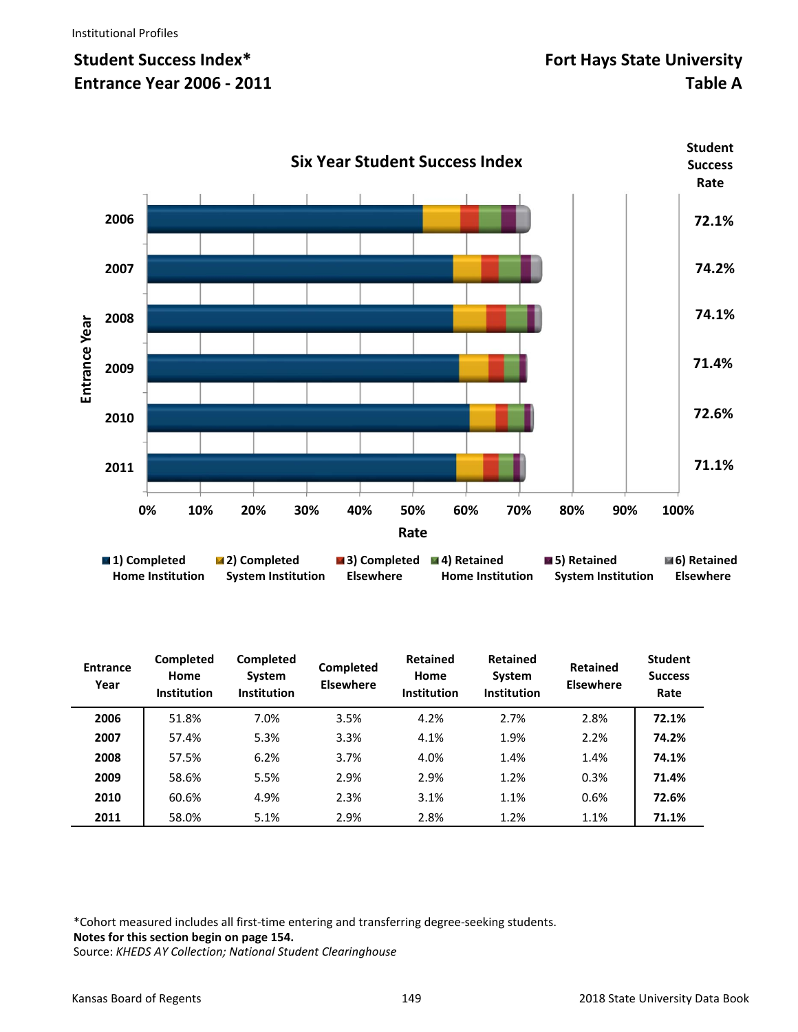

| <b>Entrance</b><br>Year | Completed<br>Home<br><b>Institution</b> | Completed<br>System<br><b>Institution</b> | Completed<br><b>Elsewhere</b> | <b>Retained</b><br>Home<br>Institution | <b>Retained</b><br>System<br><b>Institution</b> | <b>Retained</b><br><b>Elsewhere</b> | <b>Student</b><br><b>Success</b><br>Rate |
|-------------------------|-----------------------------------------|-------------------------------------------|-------------------------------|----------------------------------------|-------------------------------------------------|-------------------------------------|------------------------------------------|
| 2006                    | 51.8%                                   | 7.0%                                      | 3.5%                          | 4.2%                                   | 2.7%                                            | 2.8%                                | 72.1%                                    |
| 2007                    | 57.4%                                   | 5.3%                                      | 3.3%                          | 4.1%                                   | 1.9%                                            | 2.2%                                | 74.2%                                    |
| 2008                    | 57.5%                                   | 6.2%                                      | 3.7%                          | 4.0%                                   | 1.4%                                            | 1.4%                                | 74.1%                                    |
| 2009                    | 58.6%                                   | 5.5%                                      | 2.9%                          | 2.9%                                   | 1.2%                                            | 0.3%                                | 71.4%                                    |
| 2010                    | 60.6%                                   | 4.9%                                      | 2.3%                          | 3.1%                                   | 1.1%                                            | 0.6%                                | 72.6%                                    |
| 2011                    | 58.0%                                   | 5.1%                                      | 2.9%                          | 2.8%                                   | 1.2%                                            | 1.1%                                | 71.1%                                    |

\*Cohort measured includes all first‐time entering and transferring degree‐seeking students. **Notes for this section begin on page 154.**  Source: *KHEDS AY Collection; National Student Clearinghouse*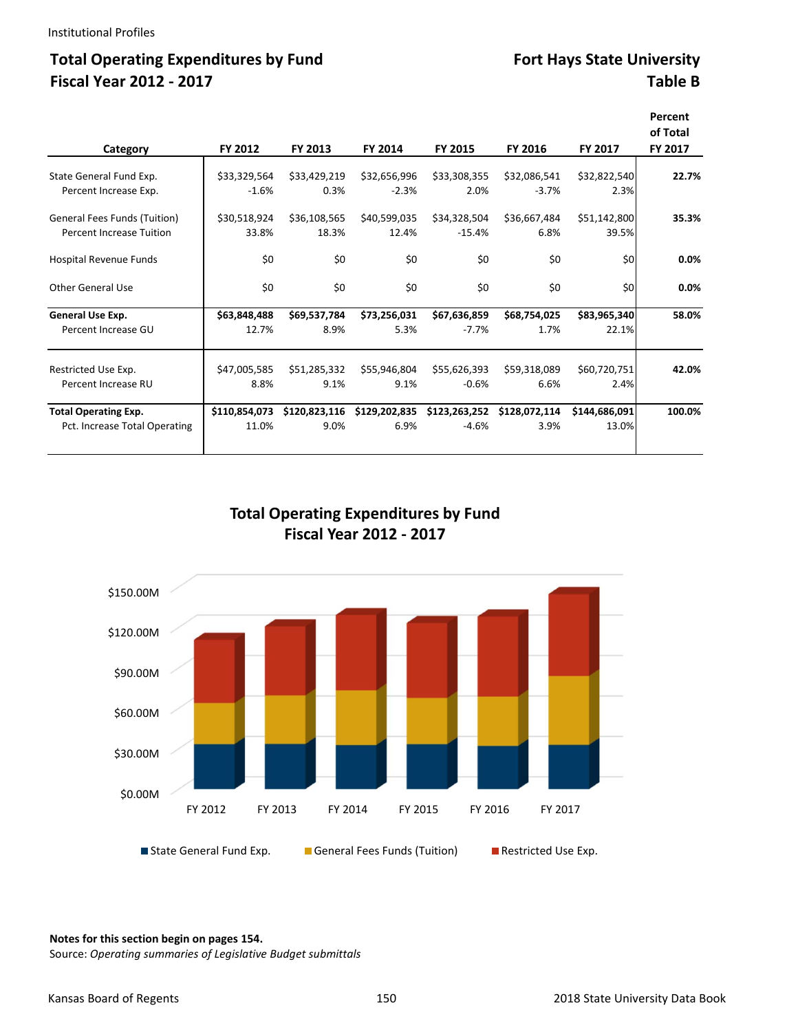## Total Operating Expenditures by Fund Fort Hays State University **Fiscal Year 2012 ‐ 2017 Table B**

| Category                        | FY 2012       | FY 2013       | FY 2014       | FY 2015       | FY 2016       | FY 2017       | Percent<br>of Total<br>FY 2017 |
|---------------------------------|---------------|---------------|---------------|---------------|---------------|---------------|--------------------------------|
|                                 |               |               |               |               |               |               |                                |
| State General Fund Exp.         | \$33,329,564  | \$33,429,219  | \$32,656,996  | \$33,308,355  | \$32,086,541  | \$32,822,540  | 22.7%                          |
| Percent Increase Exp.           | $-1.6%$       | 0.3%          | $-2.3%$       | 2.0%          | $-3.7%$       | 2.3%          |                                |
| General Fees Funds (Tuition)    | \$30,518,924  | \$36,108,565  | \$40,599,035  | \$34,328,504  | \$36,667,484  | \$51,142,800  | 35.3%                          |
| <b>Percent Increase Tuition</b> | 33.8%         | 18.3%         | 12.4%         | $-15.4%$      | 6.8%          | 39.5%         |                                |
| Hospital Revenue Funds          | \$0           | \$0           | \$0           | \$0           | \$0           | \$0           | 0.0%                           |
|                                 |               |               |               |               |               |               |                                |
| Other General Use               | \$0           | \$0           | \$0           | \$0           | \$0           | \$0           | 0.0%                           |
| General Use Exp.                | \$63,848,488  | \$69,537,784  | \$73,256,031  | \$67,636,859  | \$68,754,025  | \$83,965,340  | 58.0%                          |
| Percent Increase GU             | 12.7%         | 8.9%          | 5.3%          | $-7.7%$       | 1.7%          | 22.1%         |                                |
|                                 |               |               |               |               |               |               |                                |
| Restricted Use Exp.             | \$47,005,585  | \$51,285,332  | \$55,946,804  | \$55,626,393  | \$59,318,089  | \$60,720,751  | 42.0%                          |
| Percent Increase RU             | 8.8%          | 9.1%          | 9.1%          | $-0.6%$       | 6.6%          | 2.4%          |                                |
| <b>Total Operating Exp.</b>     | \$110,854,073 | \$120,823,116 | \$129,202,835 | \$123,263,252 | \$128,072,114 | \$144,686,091 | 100.0%                         |
| Pct. Increase Total Operating   | 11.0%         | 9.0%          | 6.9%          | $-4.6%$       | 3.9%          | 13.0%         |                                |
|                                 |               |               |               |               |               |               |                                |

## **Total Operating Expenditures by Fund Fiscal Year 2012 ‐ 2017**



**Notes for this section begin on pages 154.**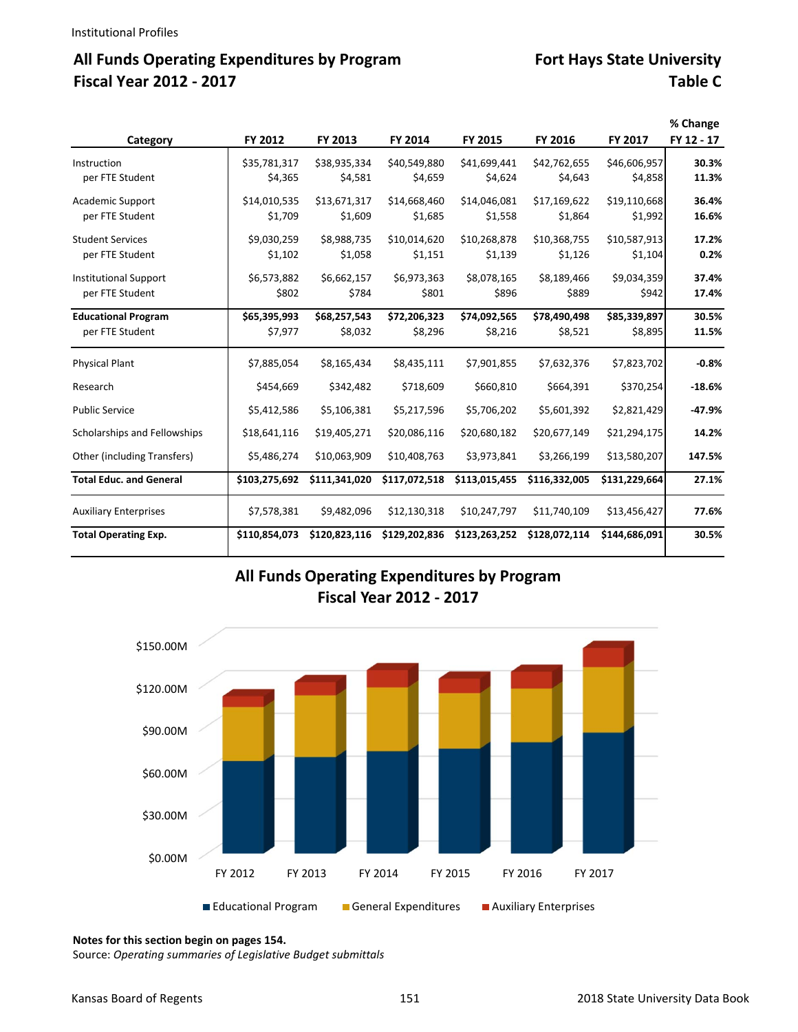# All Funds Operating Expenditures by Program **Fort Hays State University Fiscal Year 2012 ‐ 2017 Table C**

|                                |               |               |               |               |               |               | % Change   |
|--------------------------------|---------------|---------------|---------------|---------------|---------------|---------------|------------|
| Category                       | FY 2012       | FY 2013       | FY 2014       | FY 2015       | FY 2016       | FY 2017       | FY 12 - 17 |
| Instruction                    | \$35,781,317  | \$38,935,334  | \$40,549,880  | \$41,699,441  | \$42,762,655  | \$46,606,957  | 30.3%      |
| per FTE Student                | \$4,365       | \$4,581       | \$4,659       | \$4,624       | \$4,643       | \$4,858       | 11.3%      |
| Academic Support               | \$14,010,535  | \$13,671,317  | \$14,668,460  | \$14,046,081  | \$17,169,622  | \$19,110,668  | 36.4%      |
| per FTE Student                | \$1,709       | \$1,609       | \$1,685       | \$1,558       | \$1,864       | \$1,992       | 16.6%      |
| <b>Student Services</b>        | \$9,030,259   | \$8,988,735   | \$10,014,620  | \$10,268,878  | \$10,368,755  | \$10,587,913  | 17.2%      |
| per FTE Student                | \$1,102       | \$1,058       | \$1,151       | \$1,139       | \$1,126       | \$1,104       | 0.2%       |
| <b>Institutional Support</b>   | \$6,573,882   | \$6,662,157   | \$6,973,363   | \$8,078,165   | \$8,189,466   | \$9,034,359   | 37.4%      |
| per FTE Student                | \$802         | \$784         | \$801         | \$896         | \$889         | \$942         | 17.4%      |
| <b>Educational Program</b>     | \$65,395,993  | \$68,257,543  | \$72,206,323  | \$74,092,565  | \$78,490,498  | \$85,339,897  | 30.5%      |
| per FTE Student                | \$7,977       | \$8,032       | \$8,296       | \$8,216       | \$8,521       | \$8,895       | 11.5%      |
| <b>Physical Plant</b>          | \$7,885,054   | \$8,165,434   | \$8,435,111   | \$7,901,855   | \$7,632,376   | \$7,823,702   | $-0.8%$    |
| Research                       | \$454,669     | \$342,482     | \$718,609     | \$660,810     | \$664,391     | \$370,254     | $-18.6%$   |
| <b>Public Service</b>          | \$5,412,586   | \$5,106,381   | \$5,217,596   | \$5,706,202   | \$5,601,392   | \$2,821,429   | $-47.9%$   |
| Scholarships and Fellowships   | \$18,641,116  | \$19,405,271  | \$20,086,116  | \$20,680,182  | \$20,677,149  | \$21,294,175  | 14.2%      |
| Other (including Transfers)    | \$5,486,274   | \$10,063,909  | \$10,408,763  | \$3,973,841   | \$3,266,199   | \$13,580,207  | 147.5%     |
| <b>Total Educ. and General</b> | \$103,275,692 | \$111,341,020 | \$117,072,518 | \$113,015,455 | \$116,332,005 | \$131,229,664 | 27.1%      |
| <b>Auxiliary Enterprises</b>   | \$7,578,381   | \$9,482,096   | \$12,130,318  | \$10,247,797  | \$11,740,109  | \$13,456,427  | 77.6%      |
| <b>Total Operating Exp.</b>    | \$110,854,073 | \$120,823,116 | \$129,202,836 | \$123,263,252 | \$128,072,114 | \$144,686,091 | 30.5%      |

## **All Funds Operating Expenditures by Program Fiscal Year 2012 ‐ 2017**



**Notes for this section begin on pages 154.**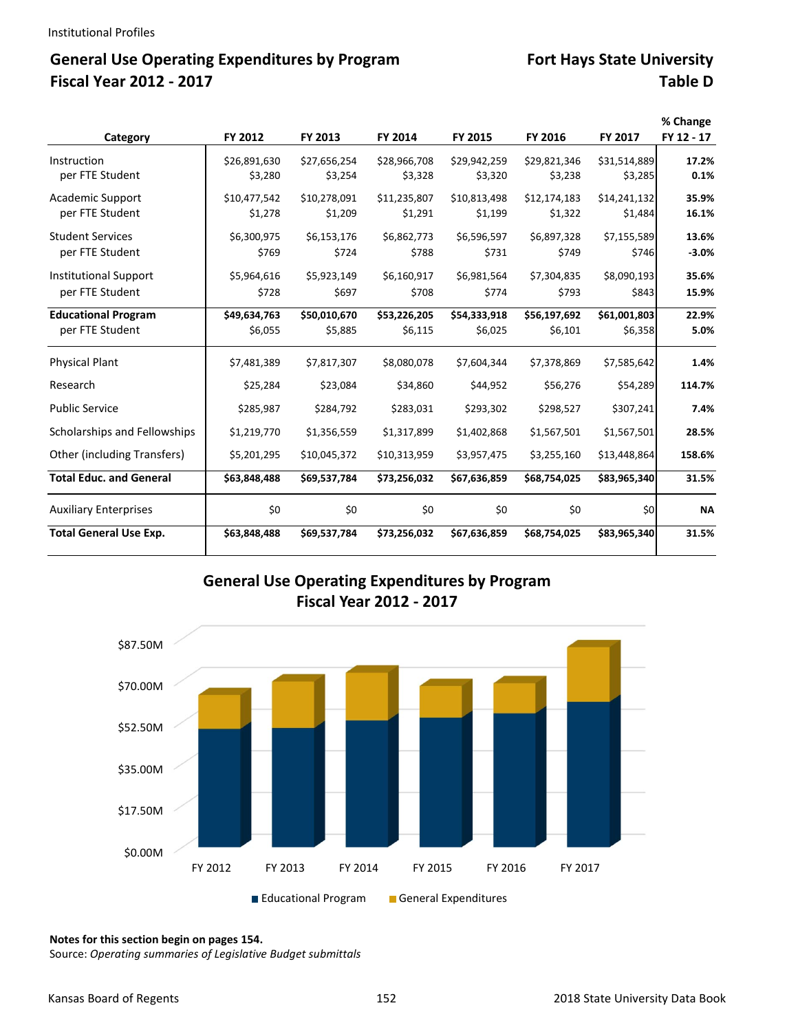# General Use Operating Expenditures by Program **Fort Hays State University Fiscal Year 2012 ‐ 2017 Table D**

|                                |              |              |              |              |              |              | % Change   |
|--------------------------------|--------------|--------------|--------------|--------------|--------------|--------------|------------|
| Category                       | FY 2012      | FY 2013      | FY 2014      | FY 2015      | FY 2016      | FY 2017      | FY 12 - 17 |
| Instruction                    | \$26,891,630 | \$27,656,254 | \$28,966,708 | \$29,942,259 | \$29,821,346 | \$31,514,889 | 17.2%      |
| per FTE Student                | \$3,280      | \$3,254      | \$3,328      | \$3,320      | \$3,238      | \$3,285      | 0.1%       |
| <b>Academic Support</b>        | \$10,477,542 | \$10,278,091 | \$11,235,807 | \$10,813,498 | \$12,174,183 | \$14,241,132 | 35.9%      |
| per FTE Student                | \$1,278      | \$1,209      | \$1,291      | \$1,199      | \$1,322      | \$1,484      | 16.1%      |
| <b>Student Services</b>        | \$6,300,975  | \$6,153,176  | \$6,862,773  | \$6,596,597  | \$6,897,328  | \$7,155,589  | 13.6%      |
| per FTE Student                | \$769        | \$724        | \$788        | \$731        | \$749        | \$746        | $-3.0%$    |
| <b>Institutional Support</b>   | \$5,964,616  | \$5,923,149  | \$6,160,917  | \$6,981,564  | \$7,304,835  | \$8,090,193  | 35.6%      |
| per FTE Student                | \$728        | \$697        | \$708        | \$774        | \$793        | \$843        | 15.9%      |
| <b>Educational Program</b>     | \$49,634,763 | \$50,010,670 | \$53,226,205 | \$54,333,918 | \$56,197,692 | \$61,001,803 | 22.9%      |
| per FTE Student                | \$6,055      | \$5,885      | \$6,115      | \$6,025      | \$6,101      | \$6,358      | 5.0%       |
| <b>Physical Plant</b>          | \$7,481,389  | \$7,817,307  | \$8,080,078  | \$7,604,344  | \$7,378,869  | \$7,585,642  | 1.4%       |
| Research                       | \$25,284     | \$23,084     | \$34,860     | \$44,952     | \$56,276     | \$54,289     | 114.7%     |
| <b>Public Service</b>          | \$285,987    | \$284,792    | \$283,031    | \$293,302    | \$298,527    | \$307,241    | 7.4%       |
| Scholarships and Fellowships   | \$1,219,770  | \$1,356,559  | \$1,317,899  | \$1,402,868  | \$1,567,501  | \$1,567,501  | 28.5%      |
| Other (including Transfers)    | \$5,201,295  | \$10,045,372 | \$10,313,959 | \$3,957,475  | \$3,255,160  | \$13,448,864 | 158.6%     |
| <b>Total Educ. and General</b> | \$63,848,488 | \$69,537,784 | \$73,256,032 | \$67,636,859 | \$68,754,025 | \$83,965,340 | 31.5%      |
| <b>Auxiliary Enterprises</b>   | \$0          | \$0          | \$0          | \$0          | \$0          | \$0          | <b>NA</b>  |
| <b>Total General Use Exp.</b>  | \$63,848,488 | \$69,537,784 | \$73,256,032 | \$67,636,859 | \$68,754,025 | \$83,965,340 | 31.5%      |

## **General Use Operating Expenditures by Program Fiscal Year 2012 ‐ 2017**



**Notes for this section begin on pages 154.**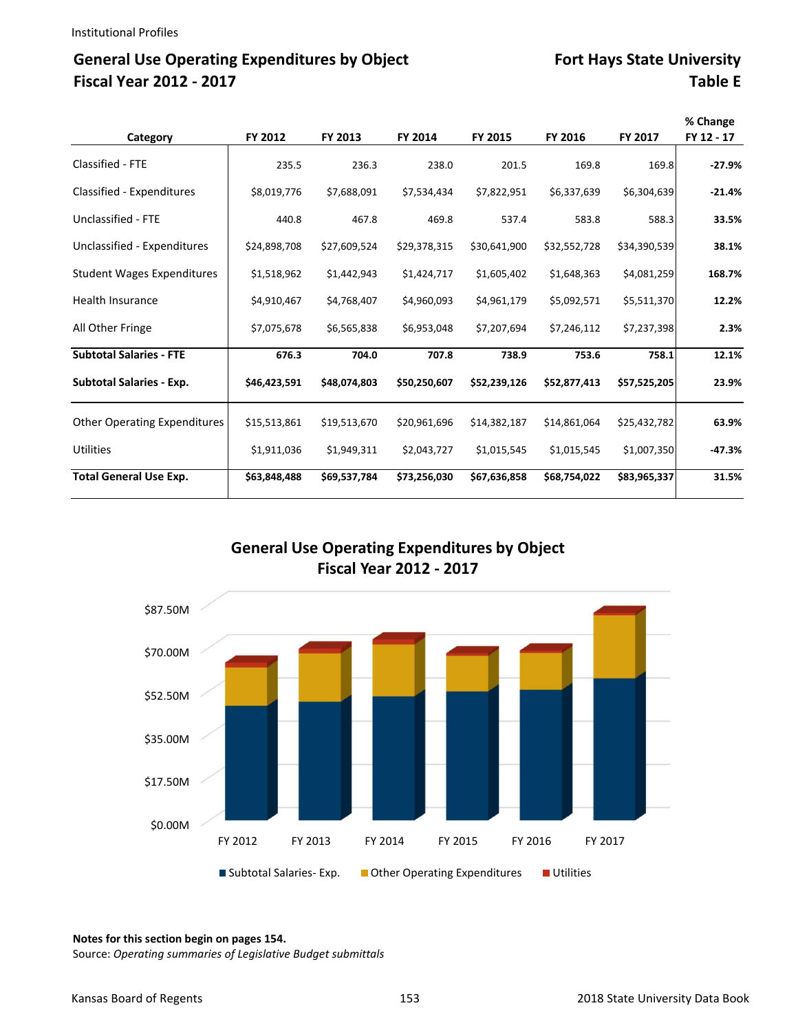# General Use Operating Expenditures by Object **Fort Hays State University Fiscal Year 2012 ‐ 2017 Table E**

| Category                          | FY 2012      | FY 2013      | FY 2014      | FY 2015      | FY 2016      | FY 2017      | % Change<br>FY 12 - 17 |
|-----------------------------------|--------------|--------------|--------------|--------------|--------------|--------------|------------------------|
| Classified - FTE                  | 235.5        | 236.3        | 238.0        | 201.5        | 169.8        | 169.8        | $-27.9%$               |
| Classified - Expenditures         | \$8,019,776  | \$7,688,091  | \$7,534,434  | \$7,822,951  | \$6,337,639  | \$6,304,639  | $-21.4%$               |
| Unclassified - FTE                | 440.8        | 467.8        | 469.8        | 537.4        | 583.8        | 588.3        | 33.5%                  |
| Unclassified - Expenditures       | \$24,898,708 | \$27,609,524 | \$29,378,315 | \$30,641,900 | \$32,552,728 | \$34,390,539 | 38.1%                  |
| <b>Student Wages Expenditures</b> | \$1,518,962  | \$1,442,943  | \$1,424,717  | \$1,605,402  | \$1,648,363  | \$4,081,259  | 168.7%                 |
| <b>Health Insurance</b>           | \$4,910,467  | \$4,768,407  | \$4,960,093  | \$4,961,179  | \$5,092,571  | \$5,511,370  | 12.2%                  |
| All Other Fringe                  | \$7,075,678  | \$6,565,838  | \$6,953,048  | \$7,207,694  | \$7,246,112  | \$7,237,398  | 2.3%                   |
| <b>Subtotal Salaries - FTE</b>    | 676.3        | 704.0        | 707.8        | 738.9        | 753.6        | 758.1        | 12.1%                  |
| <b>Subtotal Salaries - Exp.</b>   | \$46,423,591 | \$48,074,803 | \$50,250,607 | \$52,239,126 | \$52,877,413 | \$57,525,205 | 23.9%                  |
| Other Operating Expenditures      | \$15,513,861 | \$19,513,670 | \$20,961,696 | \$14,382,187 | \$14,861,064 | \$25,432,782 | 63.9%                  |
| <b>Utilities</b>                  | \$1,911,036  | \$1,949,311  | \$2,043,727  | \$1,015,545  | \$1,015,545  | \$1,007,350  | $-47.3%$               |
| <b>Total General Use Exp.</b>     | \$63,848,488 | \$69,537,784 | \$73,256,030 | \$67,636,858 | \$68,754,022 | \$83,965,337 | 31.5%                  |

## **General Use Operating Expenditures by Object Fiscal Year 2012 ‐ 2017**



**Notes for this section begin on pages 154.**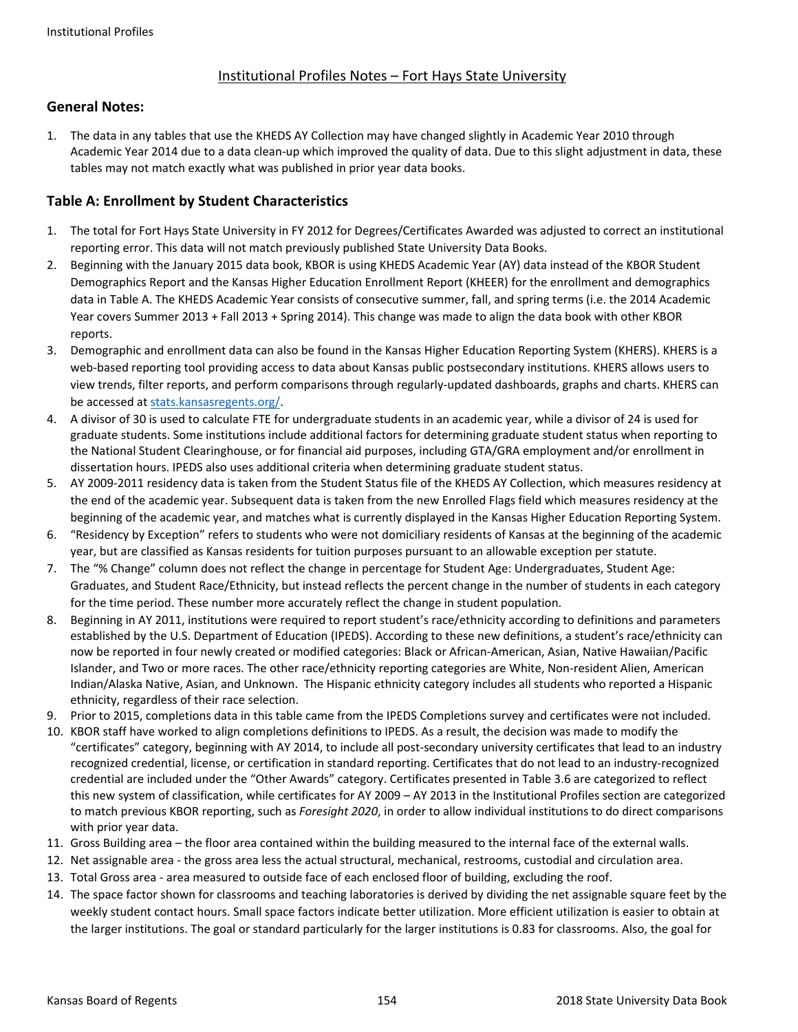### Institutional Profiles Notes – Fort Hays State University

#### **General Notes:**

1. The data in any tables that use the KHEDS AY Collection may have changed slightly in Academic Year 2010 through Academic Year 2014 due to a data clean‐up which improved the quality of data. Due to this slight adjustment in data, these tables may not match exactly what was published in prior year data books.

### **Table A: Enrollment by Student Characteristics**

- 1. The total for Fort Hays State University in FY 2012 for Degrees/Certificates Awarded was adjusted to correct an institutional reporting error. This data will not match previously published State University Data Books.
- 2. Beginning with the January 2015 data book, KBOR is using KHEDS Academic Year (AY) data instead of the KBOR Student Demographics Report and the Kansas Higher Education Enrollment Report (KHEER) for the enrollment and demographics data in Table A. The KHEDS Academic Year consists of consecutive summer, fall, and spring terms (i.e. the 2014 Academic Year covers Summer 2013 + Fall 2013 + Spring 2014). This change was made to align the data book with other KBOR reports.
- 3. Demographic and enrollment data can also be found in the Kansas Higher Education Reporting System (KHERS). KHERS is a web-based reporting tool providing access to data about Kansas public postsecondary institutions. KHERS allows users to view trends, filter reports, and perform comparisons through regularly‐updated dashboards, graphs and charts. KHERS can be accessed at stats.kansasregents.org/.
- 4. A divisor of 30 is used to calculate FTE for undergraduate students in an academic year, while a divisor of 24 is used for graduate students. Some institutions include additional factors for determining graduate student status when reporting to the National Student Clearinghouse, or for financial aid purposes, including GTA/GRA employment and/or enrollment in dissertation hours. IPEDS also uses additional criteria when determining graduate student status.
- 5. AY 2009-2011 residency data is taken from the Student Status file of the KHEDS AY Collection, which measures residency at the end of the academic year. Subsequent data is taken from the new Enrolled Flags field which measures residency at the beginning of the academic year, and matches what is currently displayed in the Kansas Higher Education Reporting System.
- 6. "Residency by Exception" refers to students who were not domiciliary residents of Kansas at the beginning of the academic year, but are classified as Kansas residents for tuition purposes pursuant to an allowable exception per statute.
- 7. The "% Change" column does not reflect the change in percentage for Student Age: Undergraduates, Student Age: Graduates, and Student Race/Ethnicity, but instead reflects the percent change in the number of students in each category for the time period. These number more accurately reflect the change in student population.
- 8. Beginning in AY 2011, institutions were required to report student's race/ethnicity according to definitions and parameters established by the U.S. Department of Education (IPEDS). According to these new definitions, a student's race/ethnicity can now be reported in four newly created or modified categories: Black or African‐American, Asian, Native Hawaiian/Pacific Islander, and Two or more races. The other race/ethnicity reporting categories are White, Non-resident Alien, American Indian/Alaska Native, Asian, and Unknown. The Hispanic ethnicity category includes all students who reported a Hispanic ethnicity, regardless of their race selection.
- 9. Prior to 2015, completions data in this table came from the IPEDS Completions survey and certificates were not included.
- 10. KBOR staff have worked to align completions definitions to IPEDS. As a result, the decision was made to modify the "certificates" category, beginning with AY 2014, to include all post‐secondary university certificates that lead to an industry recognized credential, license, or certification in standard reporting. Certificates that do not lead to an industry‐recognized credential are included under the "Other Awards" category. Certificates presented in Table 3.6 are categorized to reflect this new system of classification, while certificates for AY 2009 – AY 2013 in the Institutional Profiles section are categorized to match previous KBOR reporting, such as *Foresight 2020*, in order to allow individual institutions to do direct comparisons with prior year data.
- 11. Gross Building area the floor area contained within the building measured to the internal face of the external walls.
- 12. Net assignable area ‐ the gross area less the actual structural, mechanical, restrooms, custodial and circulation area.
- 13. Total Gross area ‐ area measured to outside face of each enclosed floor of building, excluding the roof.
- 14. The space factor shown for classrooms and teaching laboratories is derived by dividing the net assignable square feet by the weekly student contact hours. Small space factors indicate better utilization. More efficient utilization is easier to obtain at the larger institutions. The goal or standard particularly for the larger institutions is 0.83 for classrooms. Also, the goal for